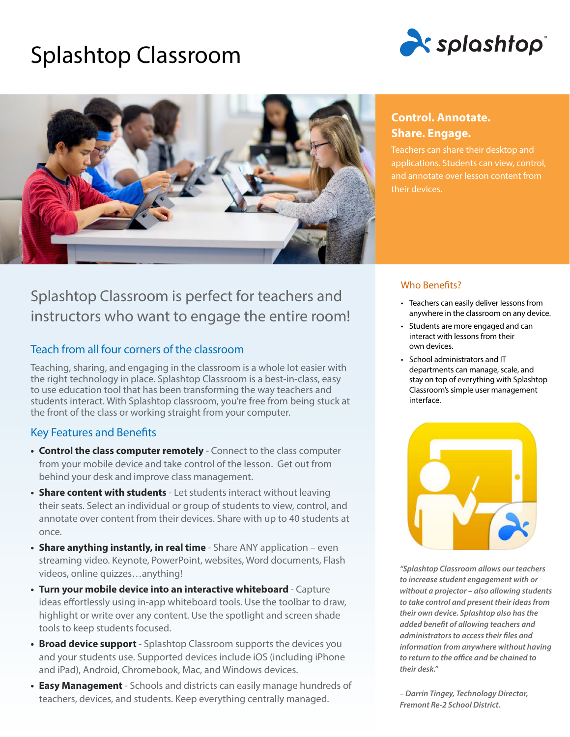# Splashtop Classroom





# Splashtop Classroom is perfect for teachers and instructors who want to engage the entire room!

# Teach from all four corners of the classroom

Teaching, sharing, and engaging in the classroom is a whole lot easier with the right technology in place. Splashtop Classroom is a best-in-class, easy to use education tool that has been transforming the way teachers and students interact. With Splashtop classroom, you're free from being stuck at the front of the class or working straight from your computer.

# Key Features and Benefits

- **• Control the class computer remotely** Connect to the class computer from your mobile device and take control of the lesson. Get out from behind your desk and improve class management.
- **• Share content with students**  Let students interact without leaving their seats. Select an individual or group of students to view, control, and annotate over content from their devices. Share with up to 40 students at once.
- **• Share anything instantly, in real time**  Share ANY application even streaming video. Keynote, PowerPoint, websites, Word documents, Flash videos, online quizzes…anything!
- **• Turn your mobile device into an interactive whiteboard**  Capture ideas effortlessly using in-app whiteboard tools. Use the toolbar to draw, highlight or write over any content. Use the spotlight and screen shade tools to keep students focused.
- **• Broad device support**  Splashtop Classroom supports the devices you and your students use. Supported devices include iOS (including iPhone and iPad), Android, Chromebook, Mac, and Windows devices.
- **• Easy Management**  Schools and districts can easily manage hundreds of teachers, devices, and students. Keep everything centrally managed.

# **Control. Annotate. Share. Engage.**

Teachers can share their desktop and applications. Students can view, control, and annotate over lesson content from their devices.

# Who Benefits?

- Teachers can easily deliver lessons from anywhere in the classroom on any device.
- Students are more engaged and can interact with lessons from their own devices.
- School administrators and IT departments can manage, scale, and stay on top of everything with Splashtop Classroom's simple user management interface.



*"Splashtop Classroom allows our teachers to increase student engagement with or without a projector – also allowing students to take control and present their ideas from their own device. Splashtop also has the added benefit of allowing teachers and administrators to access their files and information from anywhere without having to return to the office and be chained to their desk."*

*– Darrin Tingey, Technology Director, Fremont Re-2 School District.*